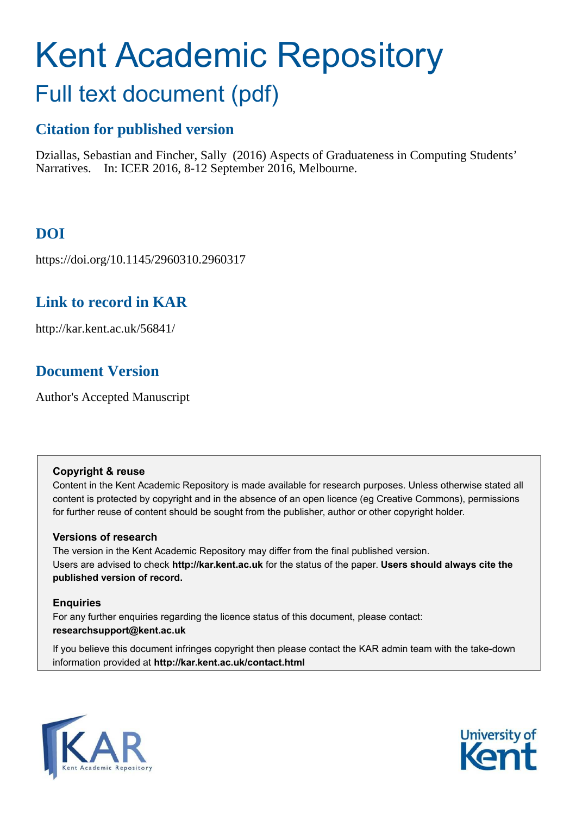# Kent Academic Repository

## Full text document (pdf)

## **Citation for published version**

Dziallas, Sebastian and Fincher, Sally (2016) Aspects of Graduateness in Computing Students' Narratives. In: ICER 2016, 8-12 September 2016, Melbourne.

## **DOI**

https://doi.org/10.1145/2960310.2960317

## **Link to record in KAR**

http://kar.kent.ac.uk/56841/

## **Document Version**

Author's Accepted Manuscript

#### **Copyright & reuse**

Content in the Kent Academic Repository is made available for research purposes. Unless otherwise stated all content is protected by copyright and in the absence of an open licence (eg Creative Commons), permissions for further reuse of content should be sought from the publisher, author or other copyright holder.

#### **Versions of research**

The version in the Kent Academic Repository may differ from the final published version. Users are advised to check **http://kar.kent.ac.uk** for the status of the paper. **Users should always cite the published version of record.**

#### **Enquiries**

For any further enquiries regarding the licence status of this document, please contact: **researchsupport@kent.ac.uk**

If you believe this document infringes copyright then please contact the KAR admin team with the take-down information provided at **http://kar.kent.ac.uk/contact.html**



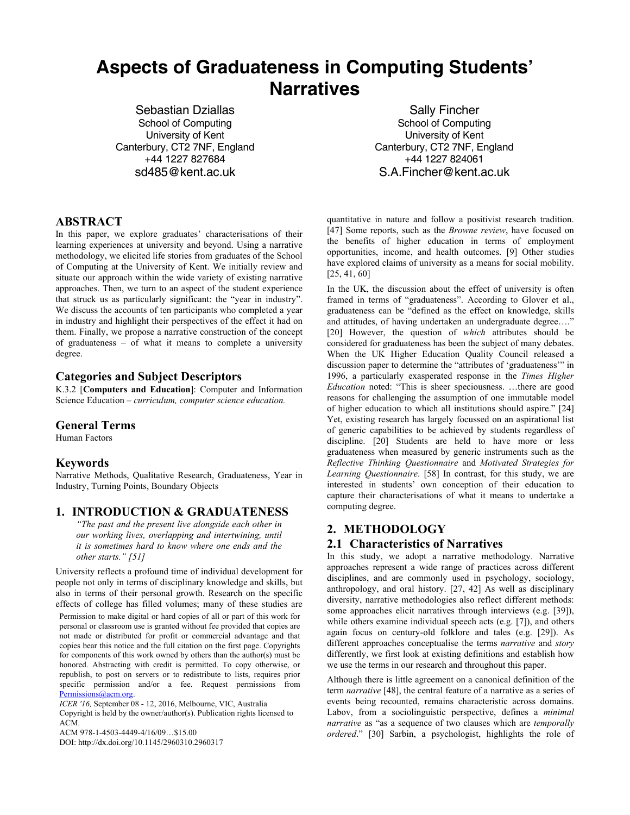## **Aspects of Graduateness in Computing Studentsí Narratives**

Sebastian Dziallas School of Computing University of Kent Canterbury, CT2 7NF, England +44 1227 827684 sd485@kent.ac.uk

Sally Fincher School of Computing University of Kent Canterbury, CT2 7NF, England +44 1227 824061 S.A.Fincher@kent.ac.uk

#### **ABSTRACT**

In this paper, we explore graduates' characterisations of their learning experiences at university and beyond. Using a narrative methodology, we elicited life stories from graduates of the School of Computing at the University of Kent. We initially review and situate our approach within the wide variety of existing narrative approaches. Then, we turn to an aspect of the student experience that struck us as particularly significant: the "year in industry". We discuss the accounts of ten participants who completed a year in industry and highlight their perspectives of the effect it had on them. Finally, we propose a narrative construction of the concept of graduateness  $-$  of what it means to complete a university degree.

#### **Categories and Subject Descriptors**

K.3.2 [**Computers and Education**]: Computer and Information Science Education – *curriculum, computer science education.* 

#### **General Terms**

Human Factors

#### **Keywords**

Narrative Methods, Qualitative Research, Graduateness, Year in Industry, Turning Points, Boundary Objects

#### **1. INTRODUCTION & GRADUATENESS**

*ìThe past and the present live alongside each other in our working lives, overlapping and intertwining, until it is sometimes hard to know where one ends and the other starts.*" [51]

University reflects a profound time of individual development for people not only in terms of disciplinary knowledge and skills, but also in terms of their personal growth. Research on the specific effects of college has filled volumes; many of these studies are Permission to make digital or hard copies of all or part of this work for personal or classroom use is granted without fee provided that copies are not made or distributed for profit or commercial advantage and that copies bear this notice and the full citation on the first page. Copyrights for components of this work owned by others than the author(s) must be honored. Abstracting with credit is permitted. To copy otherwise, or republish, to post on servers or to redistribute to lists, requires prior specific permission and/or a fee. Request permissions from Permissions@acm.org.

*ICER '16,* September 08 - 12, 2016, Melbourne, VIC, Australia Copyright is held by the owner/author(s). Publication rights licensed to ACM.

ACM 978-1-4503-4449-4/16/09...\$15.00

DOI: http://dx.doi.org/10.1145/2960310.2960317

quantitative in nature and follow a positivist research tradition. [47] Some reports, such as the *Browne review*, have focused on the benefits of higher education in terms of employment opportunities, income, and health outcomes. [9] Other studies have explored claims of university as a means for social mobility. [25, 41, 60]

In the UK, the discussion about the effect of university is often framed in terms of "graduateness". According to Glover et al., graduateness can be "defined as the effect on knowledge, skills and attitudes, of having undertaken an undergraduate degree...." [20] However, the question of *which* attributes should be considered for graduateness has been the subject of many debates. When the UK Higher Education Quality Council released a discussion paper to determine the "attributes of 'graduateness'" in 1996, a particularly exasperated response in the *Times Higher Education* noted: "This is sheer speciousness. ...there are good reasons for challenging the assumption of one immutable model of higher education to which all institutions should aspire." [24] Yet, existing research has largely focussed on an aspirational list of generic capabilities to be achieved by students regardless of discipline. [20] Students are held to have more or less graduateness when measured by generic instruments such as the *Reflective Thinking Questionnaire* and *Motivated Strategies for Learning Questionnaire*. [58] In contrast, for this study, we are interested in students' own conception of their education to capture their characterisations of what it means to undertake a computing degree.

#### **2. METHODOLOGY**

#### **2.1 Characteristics of Narratives**

In this study, we adopt a narrative methodology. Narrative approaches represent a wide range of practices across different disciplines, and are commonly used in psychology, sociology, anthropology, and oral history. [27, 42] As well as disciplinary diversity, narrative methodologies also reflect different methods: some approaches elicit narratives through interviews (e.g. [39]), while others examine individual speech acts (e.g. [7]), and others again focus on century-old folklore and tales (e.g. [29]). As different approaches conceptualise the terms *narrative* and *story* differently, we first look at existing definitions and establish how we use the terms in our research and throughout this paper.

Although there is little agreement on a canonical definition of the term *narrative* [48], the central feature of a narrative as a series of events being recounted, remains characteristic across domains. Labov, from a sociolinguistic perspective, defines a *minimal narrative* as "as a sequence of two clauses which are *temporally ordered.*" [30] Sarbin, a psychologist, highlights the role of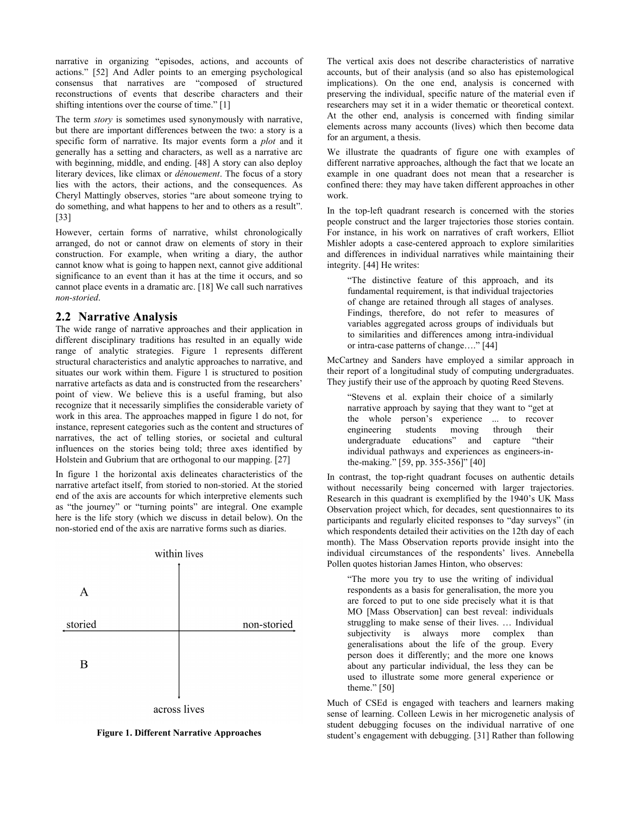narrative in organizing "episodes, actions, and accounts of actions." [52] And Adler points to an emerging psychological consensus that narratives are "composed of structured reconstructions of events that describe characters and their shifting intentions over the course of time."  $[1]$ 

The term *story* is sometimes used synonymously with narrative, but there are important differences between the two: a story is a specific form of narrative. Its major events form a *plot* and it generally has a setting and characters, as well as a narrative arc with beginning, middle, and ending. [48] A story can also deploy literary devices, like climax or *dÈnouement*. The focus of a story lies with the actors, their actions, and the consequences. As Cheryl Mattingly observes, stories "are about someone trying to do something, and what happens to her and to others as a result". [33]

However, certain forms of narrative, whilst chronologically arranged, do not or cannot draw on elements of story in their construction. For example, when writing a diary, the author cannot know what is going to happen next, cannot give additional significance to an event than it has at the time it occurs, and so cannot place events in a dramatic arc. [18] We call such narratives *non-storied*.

#### **2.2 Narrative Analysis**

The wide range of narrative approaches and their application in different disciplinary traditions has resulted in an equally wide range of analytic strategies. Figure 1 represents different structural characteristics and analytic approaches to narrative, and situates our work within them. Figure 1 is structured to position narrative artefacts as data and is constructed from the researchers' point of view. We believe this is a useful framing, but also recognize that it necessarily simplifies the considerable variety of work in this area. The approaches mapped in figure 1 do not, for instance, represent categories such as the content and structures of narratives, the act of telling stories, or societal and cultural influences on the stories being told; three axes identified by Holstein and Gubrium that are orthogonal to our mapping. [27]

In figure 1 the horizontal axis delineates characteristics of the narrative artefact itself, from storied to non-storied. At the storied end of the axis are accounts for which interpretive elements such as "the journey" or "turning points" are integral. One example here is the life story (which we discuss in detail below). On the non-storied end of the axis are narrative forms such as diaries.





The vertical axis does not describe characteristics of narrative accounts, but of their analysis (and so also has epistemological implications). On the one end, analysis is concerned with preserving the individual, specific nature of the material even if researchers may set it in a wider thematic or theoretical context. At the other end, analysis is concerned with finding similar elements across many accounts (lives) which then become data for an argument, a thesis.

We illustrate the quadrants of figure one with examples of different narrative approaches, although the fact that we locate an example in one quadrant does not mean that a researcher is confined there: they may have taken different approaches in other work.

In the top-left quadrant research is concerned with the stories people construct and the larger trajectories those stories contain. For instance, in his work on narratives of craft workers, Elliot Mishler adopts a case-centered approach to explore similarities and differences in individual narratives while maintaining their integrity. [44] He writes:

"The distinctive feature of this approach, and its fundamental requirement, is that individual trajectories of change are retained through all stages of analyses. Findings, therefore, do not refer to measures of variables aggregated across groups of individuals but to similarities and differences among intra-individual or intra-case patterns of change $\ldots$ <sup>"</sup> [44]

McCartney and Sanders have employed a similar approach in their report of a longitudinal study of computing undergraduates. They justify their use of the approach by quoting Reed Stevens.

ìStevens et al. explain their choice of a similarly narrative approach by saying that they want to "get at the whole person's experience ... to recover<br>engineering students moving through their engineering students moving through their undergraduate educations" and capture "their individual pathways and experiences as engineers-inthe-making." [59, pp. 355-356]" [40]

In contrast, the top-right quadrant focuses on authentic details without necessarily being concerned with larger trajectories. Research in this quadrant is exemplified by the 1940's UK Mass Observation project which, for decades, sent questionnaires to its participants and regularly elicited responses to "day surveys" (in which respondents detailed their activities on the 12th day of each month). The Mass Observation reports provide insight into the individual circumstances of the respondents' lives. Annebella Pollen quotes historian James Hinton, who observes:

ìThe more you try to use the writing of individual respondents as a basis for generalisation, the more you are forced to put to one side precisely what it is that MO [Mass Observation] can best reveal: individuals struggling to make sense of their lives. ... Individual subjectivity is always more complex than generalisations about the life of the group. Every person does it differently; and the more one knows about any particular individual, the less they can be used to illustrate some more general experience or theme." $[50]$ 

Much of CSEd is engaged with teachers and learners making sense of learning. Colleen Lewis in her microgenetic analysis of student debugging focuses on the individual narrative of one student's engagement with debugging. [31] Rather than following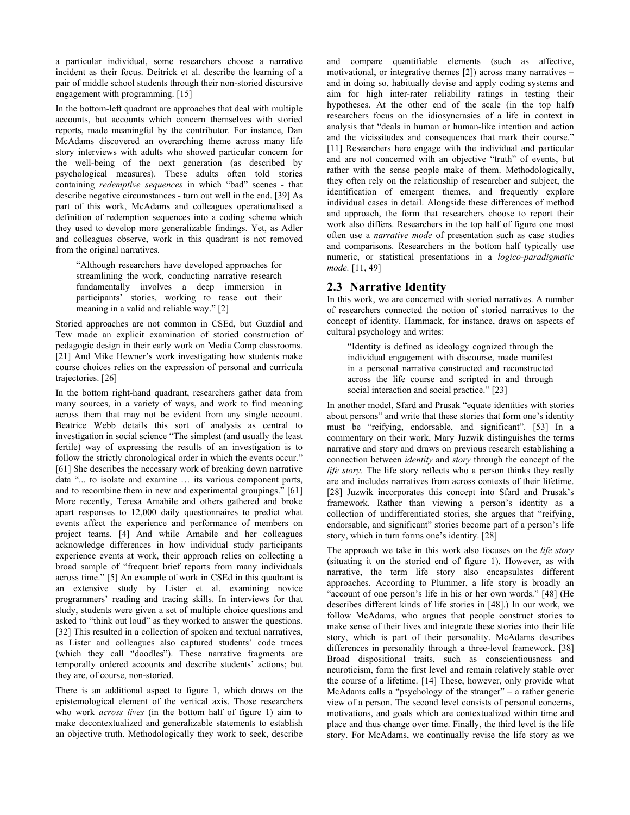a particular individual, some researchers choose a narrative incident as their focus. Deitrick et al. describe the learning of a pair of middle school students through their non-storied discursive engagement with programming. [15]

In the bottom-left quadrant are approaches that deal with multiple accounts, but accounts which concern themselves with storied reports, made meaningful by the contributor. For instance, Dan McAdams discovered an overarching theme across many life story interviews with adults who showed particular concern for the well-being of the next generation (as described by psychological measures). These adults often told stories containing *redemptive sequences* in which "bad" scenes - that describe negative circumstances - turn out well in the end. [39] As part of this work, McAdams and colleagues operationalised a definition of redemption sequences into a coding scheme which they used to develop more generalizable findings. Yet, as Adler and colleagues observe, work in this quadrant is not removed from the original narratives.

ìAlthough researchers have developed approaches for streamlining the work, conducting narrative research fundamentally involves a deep immersion in participants' stories, working to tease out their meaning in a valid and reliable way." [2]

Storied approaches are not common in CSEd, but Guzdial and Tew made an explicit examination of storied construction of pedagogic design in their early work on Media Comp classrooms. [21] And Mike Hewner's work investigating how students make course choices relies on the expression of personal and curricula trajectories. [26]

In the bottom right-hand quadrant, researchers gather data from many sources, in a variety of ways, and work to find meaning across them that may not be evident from any single account. Beatrice Webb details this sort of analysis as central to investigation in social science "The simplest (and usually the least fertile) way of expressing the results of an investigation is to follow the strictly chronological order in which the events occur." [61] She describes the necessary work of breaking down narrative data "... to isolate and examine ... its various component parts, and to recombine them in new and experimental groupings." [61] More recently, Teresa Amabile and others gathered and broke apart responses to 12,000 daily questionnaires to predict what events affect the experience and performance of members on project teams. [4] And while Amabile and her colleagues acknowledge differences in how individual study participants experience events at work, their approach relies on collecting a broad sample of "frequent brief reports from many individuals across time." [5] An example of work in CSEd in this quadrant is an extensive study by Lister et al. examining novice programmers' reading and tracing skills. In interviews for that study, students were given a set of multiple choice questions and asked to "think out loud" as they worked to answer the questions. [32] This resulted in a collection of spoken and textual narratives, as Lister and colleagues also captured students' code traces (which they call "doodles"). These narrative fragments are temporally ordered accounts and describe students' actions; but they are, of course, non-storied.

There is an additional aspect to figure 1, which draws on the epistemological element of the vertical axis. Those researchers who work *across lives* (in the bottom half of figure 1) aim to make decontextualized and generalizable statements to establish an objective truth. Methodologically they work to seek, describe and compare quantifiable elements (such as affective, motivational, or integrative themes  $[2]$ ) across many narratives – and in doing so, habitually devise and apply coding systems and aim for high inter-rater reliability ratings in testing their hypotheses. At the other end of the scale (in the top half) researchers focus on the idiosyncrasies of a life in context in analysis that "deals in human or human-like intention and action and the vicissitudes and consequences that mark their course." [11] Researchers here engage with the individual and particular and are not concerned with an objective "truth" of events, but rather with the sense people make of them. Methodologically, they often rely on the relationship of researcher and subject, the identification of emergent themes, and frequently explore individual cases in detail. Alongside these differences of method and approach, the form that researchers choose to report their work also differs. Researchers in the top half of figure one most often use a *narrative mode* of presentation such as case studies and comparisons. Researchers in the bottom half typically use numeric, or statistical presentations in a *logico-paradigmatic mode.* [11, 49]

#### **2.3 Narrative Identity**

In this work, we are concerned with storied narratives. A number of researchers connected the notion of storied narratives to the concept of identity. Hammack, for instance, draws on aspects of cultural psychology and writes:

"Identity is defined as ideology cognized through the individual engagement with discourse, made manifest in a personal narrative constructed and reconstructed across the life course and scripted in and through social interaction and social practice." [23]

In another model. Sfard and Prusak "equate identities with stories about persons" and write that these stories that form one's identity must be "reifying, endorsable, and significant". [53] In a commentary on their work, Mary Juzwik distinguishes the terms narrative and story and draws on previous research establishing a connection between *identity* and *story* through the concept of the *life story*. The life story reflects who a person thinks they really are and includes narratives from across contexts of their lifetime. [28] Juzwik incorporates this concept into Sfard and Prusak's framework. Rather than viewing a person's identity as a collection of undifferentiated stories, she argues that "reifying, endorsable, and significant" stories become part of a person's life story, which in turn forms one's identity. [28]

The approach we take in this work also focuses on the *life story* (situating it on the storied end of figure 1). However, as with narrative, the term life story also encapsulates different approaches. According to Plummer, a life story is broadly an "account of one person's life in his or her own words." [48] (He describes different kinds of life stories in [48].) In our work, we follow McAdams, who argues that people construct stories to make sense of their lives and integrate these stories into their life story, which is part of their personality. McAdams describes differences in personality through a three-level framework. [38] Broad dispositional traits, such as conscientiousness and neuroticism, form the first level and remain relatively stable over the course of a lifetime. [14] These, however, only provide what McAdams calls a "psychology of the stranger"  $-$  a rather generic view of a person. The second level consists of personal concerns, motivations, and goals which are contextualized within time and place and thus change over time. Finally, the third level is the life story. For McAdams, we continually revise the life story as we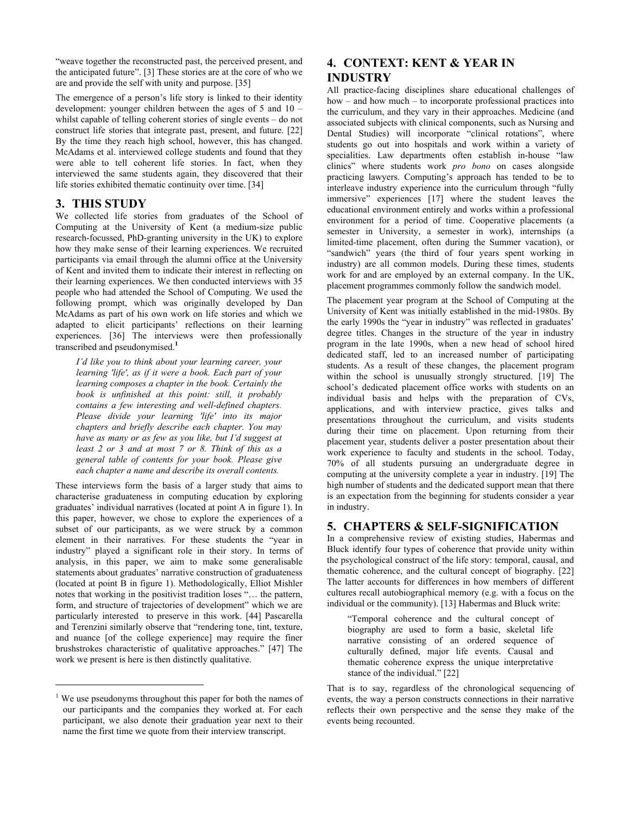ìweave together the reconstructed past, the perceived present, and the anticipated future". [3] These stories are at the core of who we are and provide the self with unity and purpose. [35]

The emergence of a person's life story is linked to their identity development: younger children between the ages of  $5$  and  $10$  – whilst capable of telling coherent stories of single events  $-$  do not construct life stories that integrate past, present, and future. [22] By the time they reach high school, however, this has changed. McAdams et al. interviewed college students and found that they were able to tell coherent life stories. In fact, when they interviewed the same students again, they discovered that their life stories exhibited thematic continuity over time. [34]

#### **3. THIS STUDY**

We collected life stories from graduates of the School of Computing at the University of Kent (a medium-size public research-focussed, PhD-granting university in the UK) to explore how they make sense of their learning experiences. We recruited participants via email through the alumni office at the University of Kent and invited them to indicate their interest in reflecting on their learning experiences. We then conducted interviews with 35 people who had attended the School of Computing. We used the following prompt, which was originally developed by Dan McAdams as part of his own work on life stories and which we adapted to elicit participants' reflections on their learning experiences. [36] The interviews were then professionally transcribed and pseudonymised.**<sup>1</sup>**

*Iíd like you to think about your learning career, your learning 'life', as if it were a book. Each part of your learning composes a chapter in the book. Certainly the book is unfinished at this point: still, it probably contains a few interesting and well-defined chapters. Please divide your learning 'life' into its major chapters and briefly describe each chapter. You may have as many or as few as you like, but Iíd suggest at least 2 or 3 and at most 7 or 8. Think of this as a general table of contents for your book. Please give each chapter a name and describe its overall contents.* 

These interviews form the basis of a larger study that aims to characterise graduateness in computing education by exploring graduates' individual narratives (located at point A in figure 1). In this paper, however, we chose to explore the experiences of a subset of our participants, as we were struck by a common element in their narratives. For these students the "year in industry" played a significant role in their story. In terms of analysis, in this paper, we aim to make some generalisable statements about graduates' narrative construction of graduateness (located at point B in figure 1). Methodologically, Elliot Mishler notes that working in the positivist tradition loses "... the pattern, form, and structure of trajectories of development" which we are particularly interested to preserve in this work. [44] Pascarella and Terenzini similarly observe that "rendering tone, tint, texture, and nuance [of the college experience] may require the finer brushstrokes characteristic of qualitative approaches." [47] The work we present is here is then distinctly qualitative.

1

#### **4. CONTEXT: KENT & YEAR IN INDUSTRY**

All practice-facing disciplines share educational challenges of how  $-$  and how much  $-$  to incorporate professional practices into the curriculum, and they vary in their approaches. Medicine (and associated subjects with clinical components, such as Nursing and Dental Studies) will incorporate "clinical rotations", where students go out into hospitals and work within a variety of specialities. Law departments often establish in-house "law clinicsî where students work *pro bono* on cases alongside practicing lawyers. Computing's approach has tended to be to interleave industry experience into the curriculum through "fully" immersive" experiences [17] where the student leaves the educational environment entirely and works within a professional environment for a period of time. Cooperative placements (a semester in University, a semester in work), internships (a limited-time placement, often during the Summer vacation), or "sandwich" years (the third of four years spent working in industry) are all common models. During these times, students work for and are employed by an external company. In the UK, placement programmes commonly follow the sandwich model.

The placement year program at the School of Computing at the University of Kent was initially established in the mid-1980s. By the early 1990s the "year in industry" was reflected in graduates' degree titles. Changes in the structure of the year in industry program in the late 1990s, when a new head of school hired dedicated staff, led to an increased number of participating students. As a result of these changes, the placement program within the school is unusually strongly structured. [19] The school's dedicated placement office works with students on an individual basis and helps with the preparation of CVs, applications, and with interview practice, gives talks and presentations throughout the curriculum, and visits students during their time on placement. Upon returning from their placement year, students deliver a poster presentation about their work experience to faculty and students in the school. Today, 70% of all students pursuing an undergraduate degree in computing at the university complete a year in industry. [19] The high number of students and the dedicated support mean that there is an expectation from the beginning for students consider a year in industry.

#### **5. CHAPTERS & SELF-SIGNIFICATION**

In a comprehensive review of existing studies, Habermas and Bluck identify four types of coherence that provide unity within the psychological construct of the life story: temporal, causal, and thematic coherence, and the cultural concept of biography. [22] The latter accounts for differences in how members of different cultures recall autobiographical memory (e.g. with a focus on the individual or the community). [13] Habermas and Bluck write:

ìTemporal coherence and the cultural concept of biography are used to form a basic, skeletal life narrative consisting of an ordered sequence of culturally defined, major life events. Causal and thematic coherence express the unique interpretative stance of the individual." [22]

That is to say, regardless of the chronological sequencing of events, the way a person constructs connections in their narrative reflects their own perspective and the sense they make of the events being recounted.

<sup>1</sup> We use pseudonyms throughout this paper for both the names of our participants and the companies they worked at. For each participant, we also denote their graduation year next to their name the first time we quote from their interview transcript.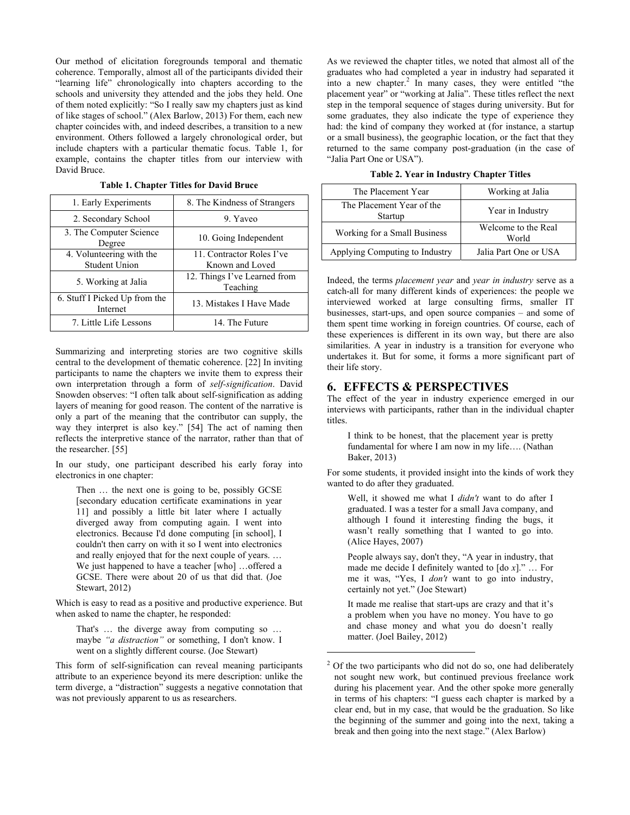Our method of elicitation foregrounds temporal and thematic coherence. Temporally, almost all of the participants divided their "learning life" chronologically into chapters according to the schools and university they attended and the jobs they held. One of them noted explicitly: "So I really saw my chapters just as kind of like stages of school." (Alex Barlow, 2013) For them, each new chapter coincides with, and indeed describes, a transition to a new environment. Others followed a largely chronological order, but include chapters with a particular thematic focus. Table 1, for example, contains the chapter titles from our interview with David Bruce.

| Table 1. Chapter Titles for David Bruce |  |  |
|-----------------------------------------|--|--|
|-----------------------------------------|--|--|

| 1. Early Experiments                      | 8. The Kindness of Strangers             |
|-------------------------------------------|------------------------------------------|
| 2. Secondary School                       | 9. Yaveo                                 |
| 3. The Computer Science<br>Degree         | 10. Going Independent                    |
| 4. Volunteering with the                  | 11. Contractor Roles I've                |
| <b>Student Union</b>                      | Known and Loved                          |
| 5. Working at Jalia                       | 12. Things I've Learned from<br>Teaching |
| 6. Stuff I Picked Up from the<br>Internet | 13. Mistakes I Have Made                 |
| 7. Little Life Lessons                    | 14. The Future                           |

Summarizing and interpreting stories are two cognitive skills central to the development of thematic coherence. [22] In inviting participants to name the chapters we invite them to express their own interpretation through a form of *self-signification*. David Snowden observes: "I often talk about self-signification as adding layers of meaning for good reason. The content of the narrative is only a part of the meaning that the contributor can supply, the way they interpret is also key." [54] The act of naming then reflects the interpretive stance of the narrator, rather than that of the researcher. [55]

In our study, one participant described his early foray into electronics in one chapter:

Then ... the next one is going to be, possibly GCSE [secondary education certificate examinations in year 11] and possibly a little bit later where I actually diverged away from computing again. I went into electronics. Because I'd done computing [in school], I couldn't then carry on with it so I went into electronics and really enjoyed that for the next couple of years. ... We just happened to have a teacher [who] ...offered a GCSE. There were about 20 of us that did that. (Joe Stewart, 2012)

Which is easy to read as a positive and productive experience. But when asked to name the chapter, he responded:

That's ... the diverge away from computing so ... maybe "a distraction" or something, I don't know. I went on a slightly different course. (Joe Stewart)

This form of self-signification can reveal meaning participants attribute to an experience beyond its mere description: unlike the term diverge, a "distraction" suggests a negative connotation that was not previously apparent to us as researchers.

As we reviewed the chapter titles, we noted that almost all of the graduates who had completed a year in industry had separated it into a new chapter.<sup>2</sup> In many cases, they were entitled "the placement year" or "working at Jalia". These titles reflect the next step in the temporal sequence of stages during university. But for some graduates, they also indicate the type of experience they had: the kind of company they worked at (for instance, a startup or a small business), the geographic location, or the fact that they returned to the same company post-graduation (in the case of "Jalia Part One or USA").

| The Placement Year                   | Working at Jalia             |
|--------------------------------------|------------------------------|
| The Placement Year of the<br>Startup | Year in Industry             |
| Working for a Small Business         | Welcome to the Real<br>World |
| Applying Computing to Industry       | Jalia Part One or USA        |

Indeed, the terms *placement year* and *year in industry* serve as a catch-all for many different kinds of experiences: the people we interviewed worked at large consulting firms, smaller IT businesses, start-ups, and open source companies – and some of them spent time working in foreign countries. Of course, each of these experiences is different in its own way, but there are also similarities. A year in industry is a transition for everyone who undertakes it. But for some, it forms a more significant part of their life story.

#### **6. EFFECTS & PERSPECTIVES**

The effect of the year in industry experience emerged in our interviews with participants, rather than in the individual chapter titles.

I think to be honest, that the placement year is pretty fundamental for where I am now in my life.... (Nathan Baker, 2013)

For some students, it provided insight into the kinds of work they wanted to do after they graduated.

Well, it showed me what I *didn't* want to do after I graduated. I was a tester for a small Java company, and although I found it interesting finding the bugs, it wasn't really something that I wanted to go into. (Alice Hayes, 2007)

People always say, don't they, "A year in industry, that made me decide I definitely wanted to  $[do x]$ .<sup>n</sup>  $\ldots$  For me it was, "Yes, I *don't* want to go into industry, certainly not yet." (Joe Stewart)

It made me realise that start-ups are crazy and that it's a problem when you have no money. You have to go and chase money and what you do doesn't really matter. (Joel Bailey, 2012)

1

 $2^2$  Of the two participants who did not do so, one had deliberately not sought new work, but continued previous freelance work during his placement year. And the other spoke more generally in terms of his chapters: "I guess each chapter is marked by a clear end, but in my case, that would be the graduation. So like the beginning of the summer and going into the next, taking a break and then going into the next stage." (Alex Barlow)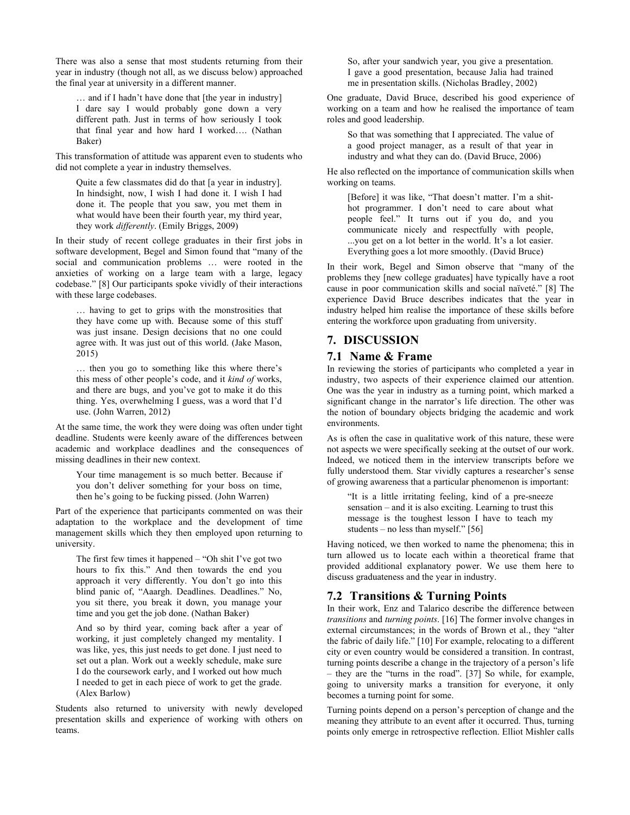There was also a sense that most students returning from their year in industry (though not all, as we discuss below) approached the final year at university in a different manner.

... and if I hadn't have done that [the year in industry] I dare say I would probably gone down a very different path. Just in terms of how seriously I took that final year and how hard I worked.... (Nathan Baker)

This transformation of attitude was apparent even to students who did not complete a year in industry themselves.

Quite a few classmates did do that [a year in industry]. In hindsight, now, I wish I had done it. I wish I had done it. The people that you saw, you met them in what would have been their fourth year, my third year, they work *differently*. (Emily Briggs, 2009)

In their study of recent college graduates in their first jobs in software development, Begel and Simon found that "many of the social and communication problems ... were rooted in the anxieties of working on a large team with a large, legacy codebase." [8] Our participants spoke vividly of their interactions with these large codebases.

... having to get to grips with the monstrosities that they have come up with. Because some of this stuff was just insane. Design decisions that no one could agree with. It was just out of this world. (Jake Mason, 2015)

... then you go to something like this where there's this mess of other people's code, and it *kind of* works, and there are bugs, and you've got to make it do this thing. Yes, overwhelming I guess, was a word that I'd use. (John Warren, 2012)

At the same time, the work they were doing was often under tight deadline. Students were keenly aware of the differences between academic and workplace deadlines and the consequences of missing deadlines in their new context.

Your time management is so much better. Because if you don't deliver something for your boss on time, then he's going to be fucking pissed. (John Warren)

Part of the experience that participants commented on was their adaptation to the workplace and the development of time management skills which they then employed upon returning to university.

The first few times it happened  $-$  "Oh shit I've got two hours to fix this." And then towards the end you approach it very differently. You don't go into this blind panic of, "Aaargh. Deadlines. Deadlines." No, you sit there, you break it down, you manage your time and you get the job done. (Nathan Baker)

And so by third year, coming back after a year of working, it just completely changed my mentality. I was like, yes, this just needs to get done. I just need to set out a plan. Work out a weekly schedule, make sure I do the coursework early, and I worked out how much I needed to get in each piece of work to get the grade. (Alex Barlow)

Students also returned to university with newly developed presentation skills and experience of working with others on teams.

So, after your sandwich year, you give a presentation. I gave a good presentation, because Jalia had trained me in presentation skills. (Nicholas Bradley, 2002)

One graduate, David Bruce, described his good experience of working on a team and how he realised the importance of team roles and good leadership.

So that was something that I appreciated. The value of a good project manager, as a result of that year in industry and what they can do. (David Bruce, 2006)

He also reflected on the importance of communication skills when working on teams.

[Before] it was like, "That doesn't matter. I'm a shithot programmer. I don't need to care about what people feel.î It turns out if you do, and you communicate nicely and respectfully with people, ...you get on a lot better in the world. It's a lot easier. Everything goes a lot more smoothly. (David Bruce)

In their work, Begel and Simon observe that "many of the problems they [new college graduates] have typically have a root cause in poor communication skills and social naïveté." [8] The experience David Bruce describes indicates that the year in industry helped him realise the importance of these skills before entering the workforce upon graduating from university.

#### **7. DISCUSSION**

#### **7.1 Name & Frame**

In reviewing the stories of participants who completed a year in industry, two aspects of their experience claimed our attention. One was the year in industry as a turning point, which marked a significant change in the narrator's life direction. The other was the notion of boundary objects bridging the academic and work environments.

As is often the case in qualitative work of this nature, these were not aspects we were specifically seeking at the outset of our work. Indeed, we noticed them in the interview transcripts before we fully understood them. Star vividly captures a researcher's sense of growing awareness that a particular phenomenon is important:

"It is a little irritating feeling, kind of a pre-sneeze  $sensation - and it is also exciting. Learning to trust this$ message is the toughest lesson I have to teach my students – no less than myself." [56]

Having noticed, we then worked to name the phenomena; this in turn allowed us to locate each within a theoretical frame that provided additional explanatory power. We use them here to discuss graduateness and the year in industry.

#### **7.2 Transitions & Turning Points**

In their work, Enz and Talarico describe the difference between *transitions* and *turning points*. [16] The former involve changes in external circumstances; in the words of Brown et al., they "alter the fabric of daily life." [10] For example, relocating to a different city or even country would be considered a transition. In contrast, turning points describe a change in the trajectory of a person's life – they are the "turns in the road". [37] So while, for example, going to university marks a transition for everyone, it only becomes a turning point for some.

Turning points depend on a person's perception of change and the meaning they attribute to an event after it occurred. Thus, turning points only emerge in retrospective reflection. Elliot Mishler calls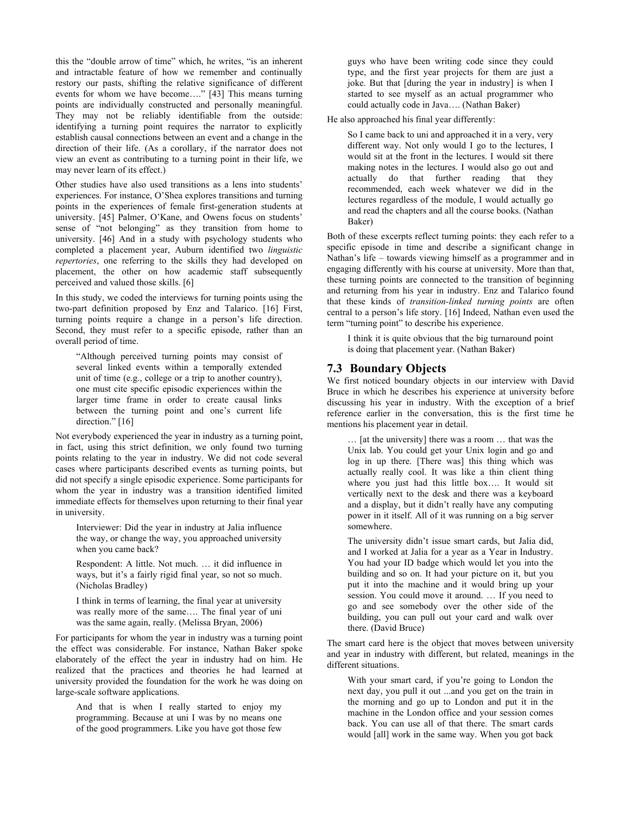this the "double arrow of time" which, he writes, "is an inherent and intractable feature of how we remember and continually restory our pasts, shifting the relative significance of different events for whom we have become...."  $[43]$  This means turning points are individually constructed and personally meaningful. They may not be reliably identifiable from the outside: identifying a turning point requires the narrator to explicitly establish causal connections between an event and a change in the direction of their life. (As a corollary, if the narrator does not view an event as contributing to a turning point in their life, we may never learn of its effect.)

Other studies have also used transitions as a lens into students' experiences. For instance, O'Shea explores transitions and turning points in the experiences of female first-generation students at university. [45] Palmer, O'Kane, and Owens focus on students' sense of "not belonging" as they transition from home to university. [46] And in a study with psychology students who completed a placement year, Auburn identified two *linguistic repertories*, one referring to the skills they had developed on placement, the other on how academic staff subsequently perceived and valued those skills. [6]

In this study, we coded the interviews for turning points using the two-part definition proposed by Enz and Talarico. [16] First, turning points require a change in a person's life direction. Second, they must refer to a specific episode, rather than an overall period of time.

ìAlthough perceived turning points may consist of several linked events within a temporally extended unit of time (e.g., college or a trip to another country), one must cite specific episodic experiences within the larger time frame in order to create causal links between the turning point and one's current life direction." $[16]$ 

Not everybody experienced the year in industry as a turning point, in fact, using this strict definition, we only found two turning points relating to the year in industry. We did not code several cases where participants described events as turning points, but did not specify a single episodic experience. Some participants for whom the year in industry was a transition identified limited immediate effects for themselves upon returning to their final year in university.

Interviewer: Did the year in industry at Jalia influence the way, or change the way, you approached university when you came back?

Respondent: A little. Not much. ... it did influence in ways, but it's a fairly rigid final year, so not so much. (Nicholas Bradley)

I think in terms of learning, the final year at university was really more of the same.... The final year of uni was the same again, really. (Melissa Bryan, 2006)

For participants for whom the year in industry was a turning point the effect was considerable. For instance, Nathan Baker spoke elaborately of the effect the year in industry had on him. He realized that the practices and theories he had learned at university provided the foundation for the work he was doing on large-scale software applications.

And that is when I really started to enjoy my programming. Because at uni I was by no means one of the good programmers. Like you have got those few

guys who have been writing code since they could type, and the first year projects for them are just a joke. But that [during the year in industry] is when I started to see myself as an actual programmer who could actually code in Java.... (Nathan Baker)

He also approached his final year differently:

So I came back to uni and approached it in a very, very different way. Not only would I go to the lectures, I would sit at the front in the lectures. I would sit there making notes in the lectures. I would also go out and actually do that further reading that they recommended, each week whatever we did in the lectures regardless of the module, I would actually go and read the chapters and all the course books. (Nathan Baker)

Both of these excerpts reflect turning points: they each refer to a specific episode in time and describe a significant change in Nathan's life – towards viewing himself as a programmer and in engaging differently with his course at university. More than that, these turning points are connected to the transition of beginning and returning from his year in industry. Enz and Talarico found that these kinds of *transition-linked turning points* are often central to a person's life story. [16] Indeed, Nathan even used the term "turning point" to describe his experience.

I think it is quite obvious that the big turnaround point is doing that placement year. (Nathan Baker)

#### **7.3 Boundary Objects**

We first noticed boundary objects in our interview with David Bruce in which he describes his experience at university before discussing his year in industry. With the exception of a brief reference earlier in the conversation, this is the first time he mentions his placement year in detail.

 $\ldots$  [at the university] there was a room  $\ldots$  that was the Unix lab. You could get your Unix login and go and log in up there. [There was] this thing which was actually really cool. It was like a thin client thing where you just had this little box.... It would sit vertically next to the desk and there was a keyboard and a display, but it didn't really have any computing power in it itself. All of it was running on a big server somewhere.

The university didn't issue smart cards, but Jalia did, and I worked at Jalia for a year as a Year in Industry. You had your ID badge which would let you into the building and so on. It had your picture on it, but you put it into the machine and it would bring up your session. You could move it around. ... If you need to go and see somebody over the other side of the building, you can pull out your card and walk over there. (David Bruce)

The smart card here is the object that moves between university and year in industry with different, but related, meanings in the different situations.

With your smart card, if you're going to London the next day, you pull it out ...and you get on the train in the morning and go up to London and put it in the machine in the London office and your session comes back. You can use all of that there. The smart cards would [all] work in the same way. When you got back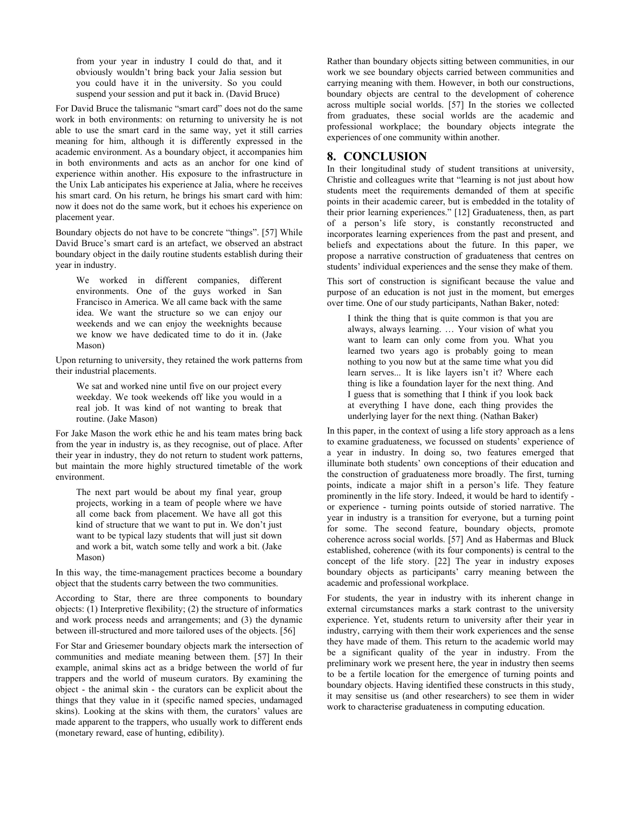from your year in industry I could do that, and it obviously wouldn't bring back your Jalia session but you could have it in the university. So you could suspend your session and put it back in. (David Bruce)

For David Bruce the talismanic "smart card" does not do the same work in both environments: on returning to university he is not able to use the smart card in the same way, yet it still carries meaning for him, although it is differently expressed in the academic environment. As a boundary object, it accompanies him in both environments and acts as an anchor for one kind of experience within another. His exposure to the infrastructure in the Unix Lab anticipates his experience at Jalia, where he receives his smart card. On his return, he brings his smart card with him: now it does not do the same work, but it echoes his experience on placement year.

Boundary objects do not have to be concrete "things". [57] While David Bruce's smart card is an artefact, we observed an abstract boundary object in the daily routine students establish during their year in industry.

We worked in different companies, different environments. One of the guys worked in San Francisco in America. We all came back with the same idea. We want the structure so we can enjoy our weekends and we can enjoy the weeknights because we know we have dedicated time to do it in. (Jake Mason)

Upon returning to university, they retained the work patterns from their industrial placements.

We sat and worked nine until five on our project every weekday. We took weekends off like you would in a real job. It was kind of not wanting to break that routine. (Jake Mason)

For Jake Mason the work ethic he and his team mates bring back from the year in industry is, as they recognise, out of place. After their year in industry, they do not return to student work patterns, but maintain the more highly structured timetable of the work environment.

The next part would be about my final year, group projects, working in a team of people where we have all come back from placement. We have all got this kind of structure that we want to put in. We don't just want to be typical lazy students that will just sit down and work a bit, watch some telly and work a bit. (Jake Mason)

In this way, the time-management practices become a boundary object that the students carry between the two communities.

According to Star, there are three components to boundary objects: (1) Interpretive flexibility; (2) the structure of informatics and work process needs and arrangements; and (3) the dynamic between ill-structured and more tailored uses of the objects. [56]

For Star and Griesemer boundary objects mark the intersection of communities and mediate meaning between them. [57] In their example, animal skins act as a bridge between the world of fur trappers and the world of museum curators. By examining the object - the animal skin - the curators can be explicit about the things that they value in it (specific named species, undamaged skins). Looking at the skins with them, the curators' values are made apparent to the trappers, who usually work to different ends (monetary reward, ease of hunting, edibility).

Rather than boundary objects sitting between communities, in our work we see boundary objects carried between communities and carrying meaning with them. However, in both our constructions, boundary objects are central to the development of coherence across multiple social worlds. [57] In the stories we collected from graduates, these social worlds are the academic and professional workplace; the boundary objects integrate the experiences of one community within another.

#### **8. CONCLUSION**

In their longitudinal study of student transitions at university, Christie and colleagues write that "learning is not just about how students meet the requirements demanded of them at specific points in their academic career, but is embedded in the totality of their prior learning experiences." [12] Graduateness, then, as part of a person's life story, is constantly reconstructed and incorporates learning experiences from the past and present, and beliefs and expectations about the future. In this paper, we propose a narrative construction of graduateness that centres on students' individual experiences and the sense they make of them.

This sort of construction is significant because the value and purpose of an education is not just in the moment, but emerges over time. One of our study participants, Nathan Baker, noted:

I think the thing that is quite common is that you are always, always learning. ... Your vision of what you want to learn can only come from you. What you learned two years ago is probably going to mean nothing to you now but at the same time what you did learn serves... It is like layers isn't it? Where each thing is like a foundation layer for the next thing. And I guess that is something that I think if you look back at everything I have done, each thing provides the underlying layer for the next thing. (Nathan Baker)

In this paper, in the context of using a life story approach as a lens to examine graduateness, we focussed on students' experience of a year in industry. In doing so, two features emerged that illuminate both students' own conceptions of their education and the construction of graduateness more broadly. The first, turning points, indicate a major shift in a person's life. They feature prominently in the life story. Indeed, it would be hard to identify or experience - turning points outside of storied narrative. The year in industry is a transition for everyone, but a turning point for some. The second feature, boundary objects, promote coherence across social worlds. [57] And as Habermas and Bluck established, coherence (with its four components) is central to the concept of the life story. [22] The year in industry exposes boundary objects as participants' carry meaning between the academic and professional workplace.

For students, the year in industry with its inherent change in external circumstances marks a stark contrast to the university experience. Yet, students return to university after their year in industry, carrying with them their work experiences and the sense they have made of them. This return to the academic world may be a significant quality of the year in industry. From the preliminary work we present here, the year in industry then seems to be a fertile location for the emergence of turning points and boundary objects. Having identified these constructs in this study, it may sensitise us (and other researchers) to see them in wider work to characterise graduateness in computing education.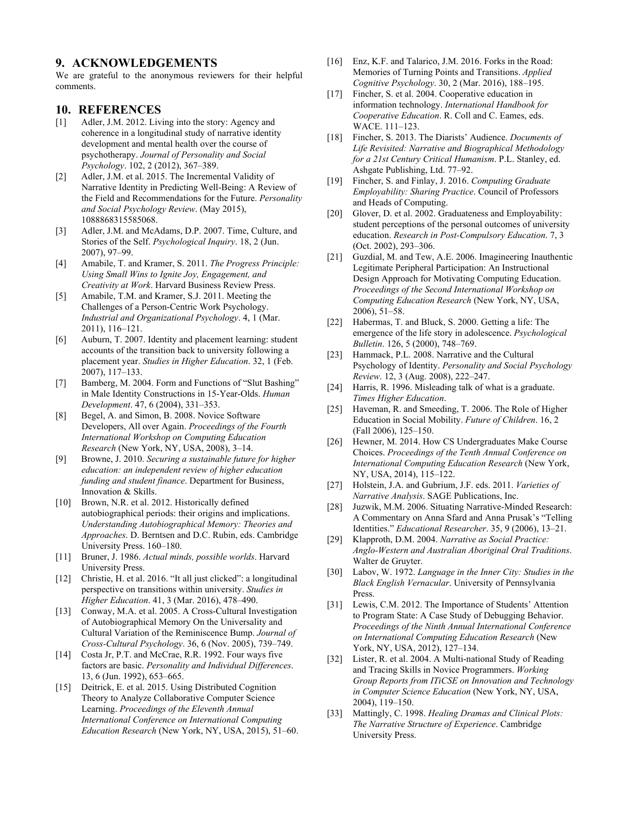#### **9. ACKNOWLEDGEMENTS**

We are grateful to the anonymous reviewers for their helpful comments.

#### **10. REFERENCES**

- [1] Adler, J.M. 2012. Living into the story: Agency and coherence in a longitudinal study of narrative identity development and mental health over the course of psychotherapy. *Journal of Personality and Social Psychology*. 102, 2 (2012), 367-389.
- [2] Adler, J.M. et al. 2015. The Incremental Validity of Narrative Identity in Predicting Well-Being: A Review of the Field and Recommendations for the Future. *Personality and Social Psychology Review*. (May 2015), 1088868315585068.
- [3] Adler, J.M. and McAdams, D.P. 2007. Time, Culture, and Stories of the Self. *Psychological Inquiry*. 18, 2 (Jun. 2007), 97-99.
- [4] Amabile, T. and Kramer, S. 2011. *The Progress Principle: Using Small Wins to Ignite Joy, Engagement, and Creativity at Work*. Harvard Business Review Press.
- [5] Amabile, T.M. and Kramer, S.J. 2011. Meeting the Challenges of a Person-Centric Work Psychology. *Industrial and Organizational Psychology*. 4, 1 (Mar. 2011), 116–121.
- [6] Auburn, T. 2007. Identity and placement learning: student accounts of the transition back to university following a placement year. *Studies in Higher Education*. 32, 1 (Feb. 2007), 117-133.
- [7] Bamberg, M. 2004. Form and Functions of "Slut Bashing" in Male Identity Constructions in 15-Year-Olds. *Human Development.* 47, 6 (2004), 331-353.
- [8] Begel, A. and Simon, B. 2008. Novice Software Developers, All over Again. *Proceedings of the Fourth International Workshop on Computing Education Research* (New York, NY, USA, 2008), 3-14.
- [9] Browne, J. 2010. *Securing a sustainable future for higher education: an independent review of higher education funding and student finance*. Department for Business, Innovation & Skills.
- [10] Brown, N.R. et al. 2012. Historically defined autobiographical periods: their origins and implications. *Understanding Autobiographical Memory: Theories and Approaches*. D. Berntsen and D.C. Rubin, eds. Cambridge University Press. 160-180.
- [11] Bruner, J. 1986. *Actual minds, possible worlds*. Harvard University Press.
- [12] Christie, H. et al. 2016. "It all just clicked": a longitudinal perspective on transitions within university. *Studies in Higher Education.* 41, 3 (Mar. 2016), 478-490.
- [13] Conway, M.A. et al. 2005. A Cross-Cultural Investigation of Autobiographical Memory On the Universality and Cultural Variation of the Reminiscence Bump. *Journal of Cross-Cultural Psychology.* 36, 6 (Nov. 2005), 739-749.
- [14] Costa Jr, P.T. and McCrae, R.R. 1992. Four ways five factors are basic. *Personality and Individual Differences*. 13, 6 (Jun. 1992), 653–665.
- [15] Deitrick, E. et al. 2015. Using Distributed Cognition Theory to Analyze Collaborative Computer Science Learning. *Proceedings of the Eleventh Annual International Conference on International Computing Education Research* (New York, NY, USA, 2015), 51-60.
- [16] Enz, K.F. and Talarico, J.M. 2016. Forks in the Road: Memories of Turning Points and Transitions. *Applied Cognitive Psychology.* 30, 2 (Mar. 2016), 188-195.
- [17] Fincher, S. et al. 2004. Cooperative education in information technology. *International Handbook for Cooperative Education*. R. Coll and C. Eames, eds. WACE. 111-123.
- [18] Fincher, S. 2013. The Diarists' Audience. *Documents of Life Revisited: Narrative and Biographical Methodology for a 21st Century Critical Humanism*. P.L. Stanley, ed. Ashgate Publishing, Ltd. 77-92.
- [19] Fincher, S. and Finlay, J. 2016. *Computing Graduate Employability: Sharing Practice*. Council of Professors and Heads of Computing.
- [20] Glover, D. et al. 2002. Graduateness and Employability: student perceptions of the personal outcomes of university education. *Research in Post-Compulsory Education*. 7, 3 (Oct. 2002), 293–306.
- [21] Guzdial, M. and Tew, A.E. 2006. Imagineering Inauthentic Legitimate Peripheral Participation: An Instructional Design Approach for Motivating Computing Education. *Proceedings of the Second International Workshop on Computing Education Research* (New York, NY, USA,  $2006$ ,  $51-58$ .
- [22] Habermas, T. and Bluck, S. 2000. Getting a life: The emergence of the life story in adolescence. *Psychological Bulletin.* 126, 5 (2000), 748-769.
- [23] Hammack, P.L. 2008. Narrative and the Cultural Psychology of Identity. *Personality and Social Psychology Review.* 12, 3 (Aug. 2008), 222–247.
- [24] Harris, R. 1996. Misleading talk of what is a graduate. *Times Higher Education*.
- [25] Haveman, R. and Smeeding, T. 2006. The Role of Higher Education in Social Mobility. *Future of Children*. 16, 2 (Fall 2006), 125-150.
- [26] Hewner, M. 2014. How CS Undergraduates Make Course Choices. *Proceedings of the Tenth Annual Conference on International Computing Education Research* (New York, NY, USA, 2014), 115-122.
- [27] Holstein, J.A. and Gubrium, J.F. eds. 2011. *Varieties of Narrative Analysis*. SAGE Publications, Inc.
- [28] Juzwik, M.M. 2006. Situating Narrative-Minded Research: A Commentary on Anna Sfard and Anna Prusak's "Telling Identities." *Educational Researcher.* 35, 9 (2006), 13-21.
- [29] Klapproth, D.M. 2004. *Narrative as Social Practice: Anglo-Western and Australian Aboriginal Oral Traditions*. Walter de Gruyter.
- [30] Labov, W. 1972. *Language in the Inner City: Studies in the Black English Vernacular*. University of Pennsylvania Press.
- [31] Lewis, C.M. 2012. The Importance of Students' Attention to Program State: A Case Study of Debugging Behavior. *Proceedings of the Ninth Annual International Conference on International Computing Education Research* (New York, NY, USA, 2012), 127-134.
- [32] Lister, R. et al. 2004. A Multi-national Study of Reading and Tracing Skills in Novice Programmers. *Working Group Reports from ITiCSE on Innovation and Technology in Computer Science Education* (New York, NY, USA, 2004), 119-150.
- [33] Mattingly, C. 1998. *Healing Dramas and Clinical Plots: The Narrative Structure of Experience*. Cambridge University Press.